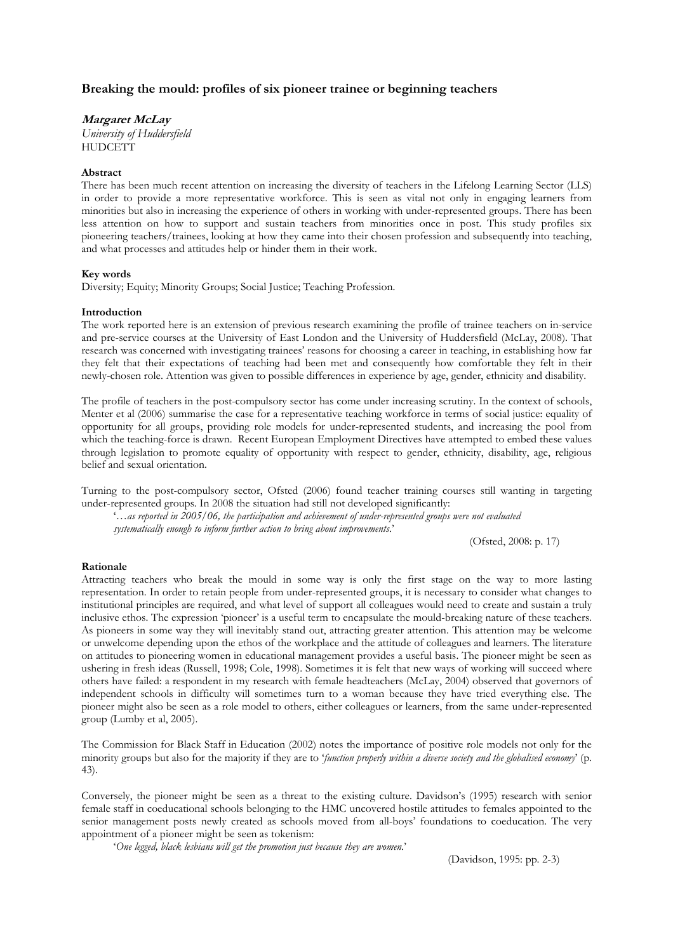# Breaking the mould: profiles of six pioneer trainee or beginning teachers

# Margaret McLay

University of Huddersfield **HUDCETT** 

# Abstract

There has been much recent attention on increasing the diversity of teachers in the Lifelong Learning Sector (LLS) in order to provide a more representative workforce. This is seen as vital not only in engaging learners from minorities but also in increasing the experience of others in working with under-represented groups. There has been less attention on how to support and sustain teachers from minorities once in post. This study profiles six pioneering teachers/trainees, looking at how they came into their chosen profession and subsequently into teaching, and what processes and attitudes help or hinder them in their work.

# Key words

Diversity; Equity; Minority Groups; Social Justice; Teaching Profession.

# Introduction

The work reported here is an extension of previous research examining the profile of trainee teachers on in-service and pre-service courses at the University of East London and the University of Huddersfield (McLay, 2008). That research was concerned with investigating trainees' reasons for choosing a career in teaching, in establishing how far they felt that their expectations of teaching had been met and consequently how comfortable they felt in their newly-chosen role. Attention was given to possible differences in experience by age, gender, ethnicity and disability.

The profile of teachers in the post-compulsory sector has come under increasing scrutiny. In the context of schools, Menter et al (2006) summarise the case for a representative teaching workforce in terms of social justice: equality of opportunity for all groups, providing role models for under-represented students, and increasing the pool from which the teaching-force is drawn. Recent European Employment Directives have attempted to embed these values through legislation to promote equality of opportunity with respect to gender, ethnicity, disability, age, religious belief and sexual orientation.

Turning to the post-compulsory sector, Ofsted (2006) found teacher training courses still wanting in targeting under-represented groups. In 2008 the situation had still not developed significantly:

'…as reported in 2005/06, the participation and achievement of under-represented groups were not evaluated systematically enough to inform further action to bring about improvements.'

(Ofsted, 2008: p. 17)

## Rationale

Attracting teachers who break the mould in some way is only the first stage on the way to more lasting representation. In order to retain people from under-represented groups, it is necessary to consider what changes to institutional principles are required, and what level of support all colleagues would need to create and sustain a truly inclusive ethos. The expression 'pioneer' is a useful term to encapsulate the mould-breaking nature of these teachers. As pioneers in some way they will inevitably stand out, attracting greater attention. This attention may be welcome or unwelcome depending upon the ethos of the workplace and the attitude of colleagues and learners. The literature on attitudes to pioneering women in educational management provides a useful basis. The pioneer might be seen as ushering in fresh ideas (Russell, 1998; Cole, 1998). Sometimes it is felt that new ways of working will succeed where others have failed: a respondent in my research with female headteachers (McLay, 2004) observed that governors of independent schools in difficulty will sometimes turn to a woman because they have tried everything else. The pioneer might also be seen as a role model to others, either colleagues or learners, from the same under-represented group (Lumby et al, 2005).

The Commission for Black Staff in Education (2002) notes the importance of positive role models not only for the minority groups but also for the majority if they are to 'function properly within a diverse society and the globalised economy' (p. 43).

Conversely, the pioneer might be seen as a threat to the existing culture. Davidson's (1995) research with senior female staff in coeducational schools belonging to the HMC uncovered hostile attitudes to females appointed to the senior management posts newly created as schools moved from all-boys' foundations to coeducation. The very appointment of a pioneer might be seen as tokenism:

'One legged, black lesbians will get the promotion just because they are women.'

(Davidson, 1995: pp. 2-3)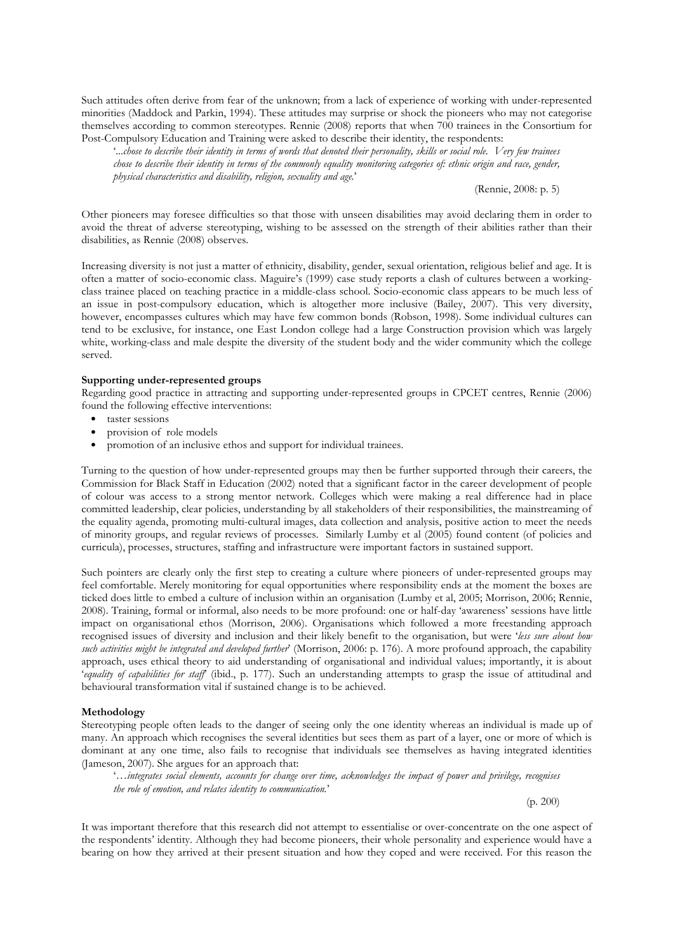Such attitudes often derive from fear of the unknown; from a lack of experience of working with under-represented minorities (Maddock and Parkin, 1994). These attitudes may surprise or shock the pioneers who may not categorise themselves according to common stereotypes. Rennie (2008) reports that when 700 trainees in the Consortium for Post-Compulsory Education and Training were asked to describe their identity, the respondents:

'...chose to describe their identity in terms of words that denoted their personality, skills or social role. Very few trainees chose to describe their identity in terms of the commonly equality monitoring categories of: ethnic origin and race, gender, physical characteristics and disability, religion, sexuality and age.'

(Rennie, 2008: p. 5)

Other pioneers may foresee difficulties so that those with unseen disabilities may avoid declaring them in order to avoid the threat of adverse stereotyping, wishing to be assessed on the strength of their abilities rather than their disabilities, as Rennie (2008) observes.

Increasing diversity is not just a matter of ethnicity, disability, gender, sexual orientation, religious belief and age. It is often a matter of socio-economic class. Maguire's (1999) case study reports a clash of cultures between a workingclass trainee placed on teaching practice in a middle-class school. Socio-economic class appears to be much less of an issue in post-compulsory education, which is altogether more inclusive (Bailey, 2007). This very diversity, however, encompasses cultures which may have few common bonds (Robson, 1998). Some individual cultures can tend to be exclusive, for instance, one East London college had a large Construction provision which was largely white, working-class and male despite the diversity of the student body and the wider community which the college served.

## Supporting under-represented groups

Regarding good practice in attracting and supporting under-represented groups in CPCET centres, Rennie (2006) found the following effective interventions:

- taster sessions
- provision of role models
- promotion of an inclusive ethos and support for individual trainees.

Turning to the question of how under-represented groups may then be further supported through their careers, the Commission for Black Staff in Education (2002) noted that a significant factor in the career development of people of colour was access to a strong mentor network. Colleges which were making a real difference had in place committed leadership, clear policies, understanding by all stakeholders of their responsibilities, the mainstreaming of the equality agenda, promoting multi-cultural images, data collection and analysis, positive action to meet the needs of minority groups, and regular reviews of processes. Similarly Lumby et al (2005) found content (of policies and curricula), processes, structures, staffing and infrastructure were important factors in sustained support.

Such pointers are clearly only the first step to creating a culture where pioneers of under-represented groups may feel comfortable. Merely monitoring for equal opportunities where responsibility ends at the moment the boxes are ticked does little to embed a culture of inclusion within an organisation (Lumby et al, 2005; Morrison, 2006; Rennie, 2008). Training, formal or informal, also needs to be more profound: one or half-day 'awareness' sessions have little impact on organisational ethos (Morrison, 2006). Organisations which followed a more freestanding approach recognised issues of diversity and inclusion and their likely benefit to the organisation, but were 'less sure about how such activities might be integrated and developed further' (Morrison, 2006: p. 176). A more profound approach, the capability approach, uses ethical theory to aid understanding of organisational and individual values; importantly, it is about 'equality of capabilities for staff' (ibid., p. 177). Such an understanding attempts to grasp the issue of attitudinal and behavioural transformation vital if sustained change is to be achieved.

## Methodology

Stereotyping people often leads to the danger of seeing only the one identity whereas an individual is made up of many. An approach which recognises the several identities but sees them as part of a layer, one or more of which is dominant at any one time, also fails to recognise that individuals see themselves as having integrated identities (Jameson, 2007). She argues for an approach that:

'…integrates social elements, accounts for change over time, acknowledges the impact of power and privilege, recognises the role of emotion, and relates identity to communication.'

(p. 200)

It was important therefore that this research did not attempt to essentialise or over-concentrate on the one aspect of the respondents' identity. Although they had become pioneers, their whole personality and experience would have a bearing on how they arrived at their present situation and how they coped and were received. For this reason the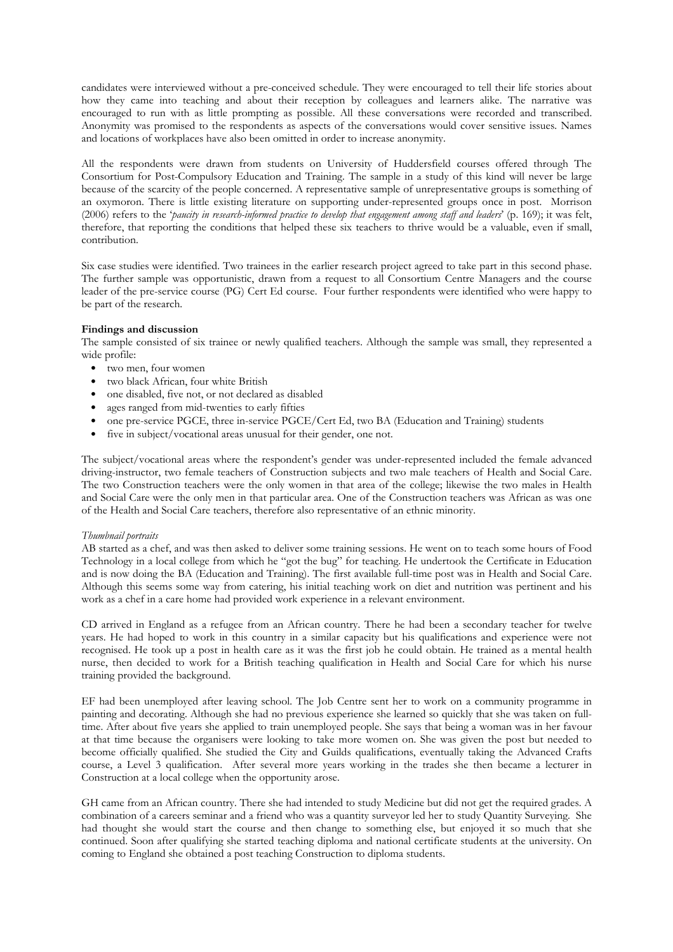candidates were interviewed without a pre-conceived schedule. They were encouraged to tell their life stories about how they came into teaching and about their reception by colleagues and learners alike. The narrative was encouraged to run with as little prompting as possible. All these conversations were recorded and transcribed. Anonymity was promised to the respondents as aspects of the conversations would cover sensitive issues. Names and locations of workplaces have also been omitted in order to increase anonymity.

All the respondents were drawn from students on University of Huddersfield courses offered through The Consortium for Post-Compulsory Education and Training. The sample in a study of this kind will never be large because of the scarcity of the people concerned. A representative sample of unrepresentative groups is something of an oxymoron. There is little existing literature on supporting under-represented groups once in post. Morrison (2006) refers to the 'paucity in research-informed practice to develop that engagement among staff and leaders' (p. 169); it was felt, therefore, that reporting the conditions that helped these six teachers to thrive would be a valuable, even if small, contribution.

Six case studies were identified. Two trainees in the earlier research project agreed to take part in this second phase. The further sample was opportunistic, drawn from a request to all Consortium Centre Managers and the course leader of the pre-service course (PG) Cert Ed course. Four further respondents were identified who were happy to be part of the research.

# Findings and discussion

The sample consisted of six trainee or newly qualified teachers. Although the sample was small, they represented a wide profile:

- two men, four women
- two black African, four white British
- one disabled, five not, or not declared as disabled
- ages ranged from mid-twenties to early fifties
- one pre-service PGCE, three in-service PGCE/Cert Ed, two BA (Education and Training) students
- five in subject/vocational areas unusual for their gender, one not.

The subject/vocational areas where the respondent's gender was under-represented included the female advanced driving-instructor, two female teachers of Construction subjects and two male teachers of Health and Social Care. The two Construction teachers were the only women in that area of the college; likewise the two males in Health and Social Care were the only men in that particular area. One of the Construction teachers was African as was one of the Health and Social Care teachers, therefore also representative of an ethnic minority.

## Thumbnail portraits

AB started as a chef, and was then asked to deliver some training sessions. He went on to teach some hours of Food Technology in a local college from which he "got the bug" for teaching. He undertook the Certificate in Education and is now doing the BA (Education and Training). The first available full-time post was in Health and Social Care. Although this seems some way from catering, his initial teaching work on diet and nutrition was pertinent and his work as a chef in a care home had provided work experience in a relevant environment.

CD arrived in England as a refugee from an African country. There he had been a secondary teacher for twelve years. He had hoped to work in this country in a similar capacity but his qualifications and experience were not recognised. He took up a post in health care as it was the first job he could obtain. He trained as a mental health nurse, then decided to work for a British teaching qualification in Health and Social Care for which his nurse training provided the background.

EF had been unemployed after leaving school. The Job Centre sent her to work on a community programme in painting and decorating. Although she had no previous experience she learned so quickly that she was taken on fulltime. After about five years she applied to train unemployed people. She says that being a woman was in her favour at that time because the organisers were looking to take more women on. She was given the post but needed to become officially qualified. She studied the City and Guilds qualifications, eventually taking the Advanced Crafts course, a Level 3 qualification. After several more years working in the trades she then became a lecturer in Construction at a local college when the opportunity arose.

GH came from an African country. There she had intended to study Medicine but did not get the required grades. A combination of a careers seminar and a friend who was a quantity surveyor led her to study Quantity Surveying. She had thought she would start the course and then change to something else, but enjoyed it so much that she continued. Soon after qualifying she started teaching diploma and national certificate students at the university. On coming to England she obtained a post teaching Construction to diploma students.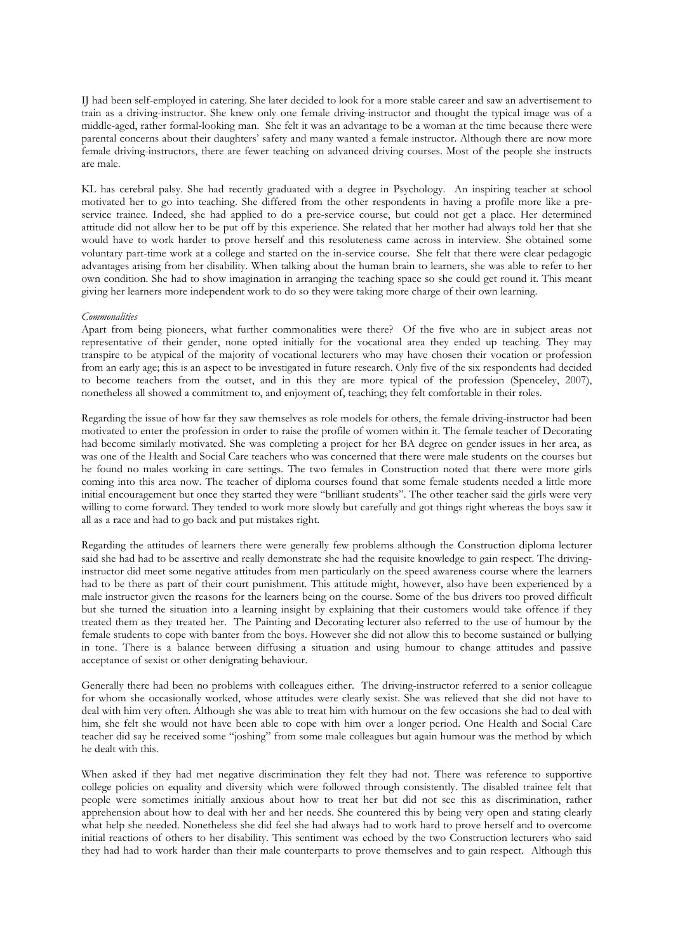IJ had been self-employed in catering. She later decided to look for a more stable career and saw an advertisement to train as a driving-instructor. She knew only one female driving-instructor and thought the typical image was of a middle-aged, rather formal-looking man. She felt it was an advantage to be a woman at the time because there were parental concerns about their daughters' safety and many wanted a female instructor. Although there are now more female driving-instructors, there are fewer teaching on advanced driving courses. Most of the people she instructs are male.

KL has cerebral palsy. She had recently graduated with a degree in Psychology. An inspiring teacher at school motivated her to go into teaching. She differed from the other respondents in having a profile more like a preservice trainee. Indeed, she had applied to do a pre-service course, but could not get a place. Her determined attitude did not allow her to be put off by this experience. She related that her mother had always told her that she would have to work harder to prove herself and this resoluteness came across in interview. She obtained some voluntary part-time work at a college and started on the in-service course. She felt that there were clear pedagogic advantages arising from her disability. When talking about the human brain to learners, she was able to refer to her own condition. She had to show imagination in arranging the teaching space so she could get round it. This meant giving her learners more independent work to do so they were taking more charge of their own learning.

#### **Commonalities**

Apart from being pioneers, what further commonalities were there? Of the five who are in subject areas not representative of their gender, none opted initially for the vocational area they ended up teaching. They may transpire to be atypical of the majority of vocational lecturers who may have chosen their vocation or profession from an early age; this is an aspect to be investigated in future research. Only five of the six respondents had decided to become teachers from the outset, and in this they are more typical of the profession (Spenceley, 2007), nonetheless all showed a commitment to, and enjoyment of, teaching; they felt comfortable in their roles.

Regarding the issue of how far they saw themselves as role models for others, the female driving-instructor had been motivated to enter the profession in order to raise the profile of women within it. The female teacher of Decorating had become similarly motivated. She was completing a project for her BA degree on gender issues in her area, as was one of the Health and Social Care teachers who was concerned that there were male students on the courses but he found no males working in care settings. The two females in Construction noted that there were more girls coming into this area now. The teacher of diploma courses found that some female students needed a little more initial encouragement but once they started they were "brilliant students". The other teacher said the girls were very willing to come forward. They tended to work more slowly but carefully and got things right whereas the boys saw it all as a race and had to go back and put mistakes right.

Regarding the attitudes of learners there were generally few problems although the Construction diploma lecturer said she had had to be assertive and really demonstrate she had the requisite knowledge to gain respect. The drivinginstructor did meet some negative attitudes from men particularly on the speed awareness course where the learners had to be there as part of their court punishment. This attitude might, however, also have been experienced by a male instructor given the reasons for the learners being on the course. Some of the bus drivers too proved difficult but she turned the situation into a learning insight by explaining that their customers would take offence if they treated them as they treated her. The Painting and Decorating lecturer also referred to the use of humour by the female students to cope with banter from the boys. However she did not allow this to become sustained or bullying in tone. There is a balance between diffusing a situation and using humour to change attitudes and passive acceptance of sexist or other denigrating behaviour.

Generally there had been no problems with colleagues either. The driving-instructor referred to a senior colleague for whom she occasionally worked, whose attitudes were clearly sexist. She was relieved that she did not have to deal with him very often. Although she was able to treat him with humour on the few occasions she had to deal with him, she felt she would not have been able to cope with him over a longer period. One Health and Social Care teacher did say he received some "joshing" from some male colleagues but again humour was the method by which he dealt with this.

When asked if they had met negative discrimination they felt they had not. There was reference to supportive college policies on equality and diversity which were followed through consistently. The disabled trainee felt that people were sometimes initially anxious about how to treat her but did not see this as discrimination, rather apprehension about how to deal with her and her needs. She countered this by being very open and stating clearly what help she needed. Nonetheless she did feel she had always had to work hard to prove herself and to overcome initial reactions of others to her disability. This sentiment was echoed by the two Construction lecturers who said they had had to work harder than their male counterparts to prove themselves and to gain respect. Although this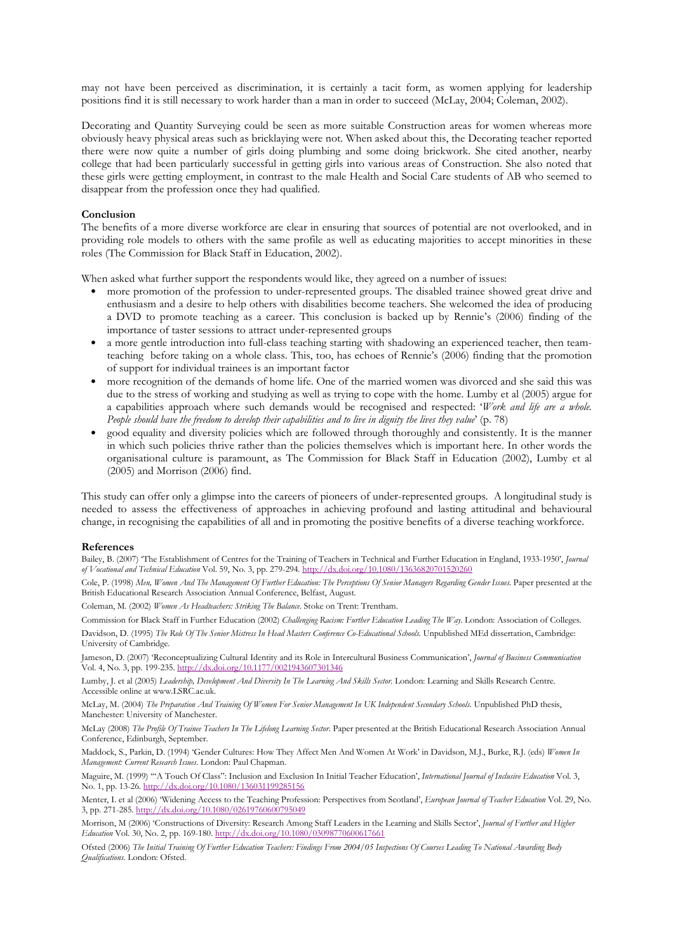may not have been perceived as discrimination, it is certainly a tacit form, as women applying for leadership positions find it is still necessary to work harder than a man in order to succeed (McLay, 2004; Coleman, 2002).

Decorating and Quantity Surveying could be seen as more suitable Construction areas for women whereas more obviously heavy physical areas such as bricklaying were not. When asked about this, the Decorating teacher reported there were now quite a number of girls doing plumbing and some doing brickwork. She cited another, nearby college that had been particularly successful in getting girls into various areas of Construction. She also noted that these girls were getting employment, in contrast to the male Health and Social Care students of AB who seemed to disappear from the profession once they had qualified.

#### Conclusion

The benefits of a more diverse workforce are clear in ensuring that sources of potential are not overlooked, and in providing role models to others with the same profile as well as educating majorities to accept minorities in these roles (The Commission for Black Staff in Education, 2002).

When asked what further support the respondents would like, they agreed on a number of issues:

- more promotion of the profession to under-represented groups. The disabled trainee showed great drive and enthusiasm and a desire to help others with disabilities become teachers. She welcomed the idea of producing a DVD to promote teaching as a career. This conclusion is backed up by Rennie's (2006) finding of the importance of taster sessions to attract under-represented groups
- a more gentle introduction into full-class teaching starting with shadowing an experienced teacher, then teamteaching before taking on a whole class. This, too, has echoes of Rennie's (2006) finding that the promotion of support for individual trainees is an important factor
- more recognition of the demands of home life. One of the married women was divorced and she said this was due to the stress of working and studying as well as trying to cope with the home. Lumby et al (2005) argue for a capabilities approach where such demands would be recognised and respected: 'Work and life are a whole. People should have the freedom to develop their capabilities and to live in dignity the lives they value' (p. 78)
- good equality and diversity policies which are followed through thoroughly and consistently. It is the manner in which such policies thrive rather than the policies themselves which is important here. In other words the organisational culture is paramount, as The Commission for Black Staff in Education (2002), Lumby et al (2005) and Morrison (2006) find.

This study can offer only a glimpse into the careers of pioneers of under-represented groups. A longitudinal study is needed to assess the effectiveness of approaches in achieving profound and lasting attitudinal and behavioural change, in recognising the capabilities of all and in promoting the positive benefits of a diverse teaching workforce.

#### References

Bailey, B. (2007) 'The Establishment of Centres for the Training of Teachers in Technical and Further Education in England, 1933-1950', Journal of Vocational and Technical Education Vol. 59, No. 3, pp. 279-294. http://dx.doi.org/10.1080/13636820701520260

Cole, P. (1998) Men, Women And The Management Of Further Education: The Perceptions Of Senior Managers Regarding Gender Issues. Paper presented at the British Educational Research Association Annual Conference, Belfast, August.

Coleman, M. (2002) Women As Headteachers: Striking The Balance. Stoke on Trent: Trentham.

Commission for Black Staff in Further Education (2002) Challenging Racism: Further Education Leading The Way. London: Association of Colleges. Davidson, D. (1995) The Role Of The Senior Mistress In Head Masters Conference Co-Educational Schools. Unpublished MEd dissertation, Cambridge: University of Cambridge.

Jameson, D. (2007) 'Reconceptualizing Cultural Identity and its Role in Intercultural Business Communication', Journal of Business Communication Vol. 4, No. 3, pp. 199-235. http://dx.doi.org/10.1177/0021943607301346

Lumby, J. et al (2005) Leadership, Development And Diversity In The Learning And Skills Sector. London: Learning and Skills Research Centre. Accessible online at www.LSRC.ac.uk.

McLay, M. (2004) The Preparation And Training Of Women For Senior Management In UK Independent Secondary Schools. Unpublished PhD thesis, Manchester: University of Manchester.

McLay (2008) The Profile Of Trainee Teachers In The Lifelong Learning Sector. Paper presented at the British Educational Research Association Annual Conference, Edinburgh, September.

Maddock, S., Parkin, D. (1994) 'Gender Cultures: How They Affect Men And Women At Work' in Davidson, M.J., Burke, R.J. (eds) Women In Management: Current Research Issues. London: Paul Chapman.

Maguire, M. (1999) "A Touch Of Class": Inclusion and Exclusion In Initial Teacher Education', International Journal of Inclusive Education Vol. 3, No. 1, pp. 13-26. http://dx.doi.org/10.1080/136031199285156

Menter, I. et al (2006) 'Widening Access to the Teaching Profession: Perspectives from Scotland', European Journal of Teacher Education Vol. 29, No. 3, pp. 271-285. http://dx.doi.org/10.1080/02619760600795049

Morrison, M (2006) 'Constructions of Diversity: Research Among Staff Leaders in the Learning and Skills Sector', Journal of Further and Higher Education Vol. 30, No. 2, pp. 169-180. http://dx.doi.org/10.1080/03098770600617661

Ofsted (2006) The Initial Training Of Further Education Teachers: Findings From 2004/05 Inspections Of Courses Leading To National Awarding Body Qualifications. London: Ofsted.